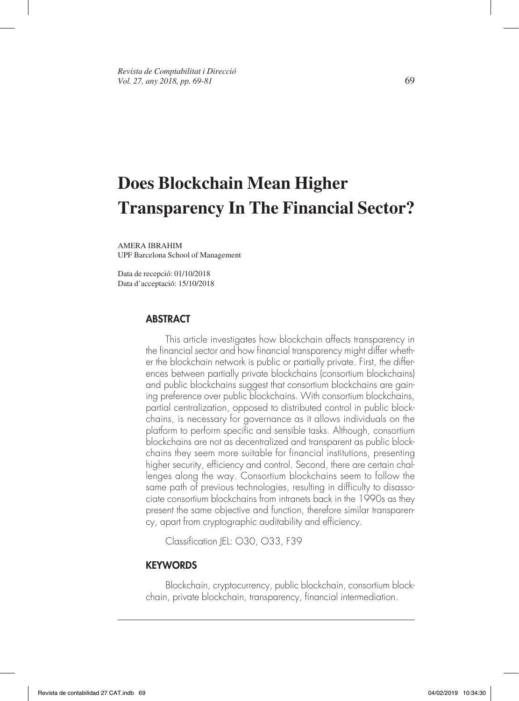# **Does Blockchain Mean Higher Transparency In The Financial Sector?**

AMERA IBRAHIM UPF Barcelona School of Management

Data de recepció: 01/10/2018 Data d'acceptació: 15/10/2018

### **ABSTRACT**

This article investigates how blockchain affects transparency in the financial sector and how financial transparency might differ whether the blockchain network is public or partially private. First, the differences between partially private blockchains (consortium blockchains) and public blockchains suggest that consortium blockchains are gaining preference over public blockchains. With consortium blockchains, partial centralization, opposed to distributed control in public blockchains, is necessary for governance as it allows individuals on the platform to perform specific and sensible tasks. Although, consortium blockchains are not as decentralized and transparent as public blockchains they seem more suitable for financial institutions, presenting higher security, efficiency and control. Second, there are certain challenges along the way. Consortium blockchains seem to follow the same path of previous technologies, resulting in difficulty to disassociate consortium blockchains from intranets back in the 1990s as they present the same objective and function, therefore similar transparency, apart from cryptographic auditability and efficiency.

Classification |EL: 030, 033, F39

#### **KEYWORDS**

Blockchain, cryptocurrency, public blockchain, consortium blockchain, private blockchain, transparency, financial intermediation.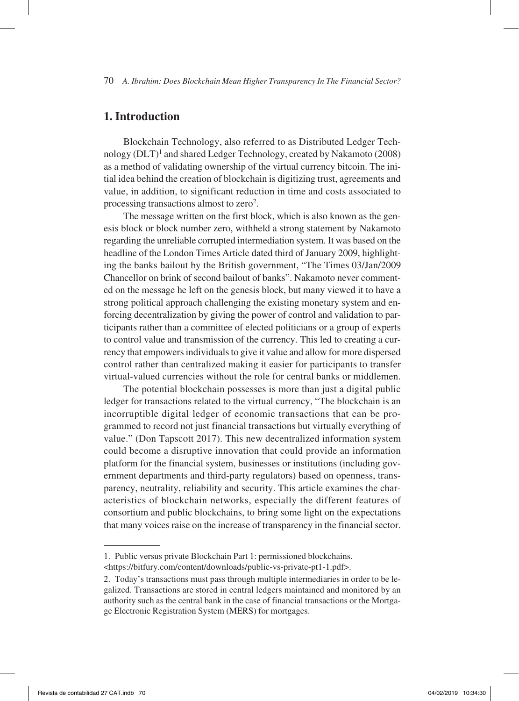## **1. Introduction**

Blockchain Technology, also referred to as Distributed Ledger Technology (DLT)<sup>1</sup> and shared Ledger Technology, created by Nakamoto (2008) as a method of validating ownership of the virtual currency bitcoin. The initial idea behind the creation of blockchain is digitizing trust, agreements and value, in addition, to significant reduction in time and costs associated to processing transactions almost to zero<sup>2</sup>.

The message written on the first block, which is also known as the genesis block or block number zero, withheld a strong statement by Nakamoto regarding the unreliable corrupted intermediation system. It was based on the headline of the London Times Article dated third of January 2009, highlighting the banks bailout by the British government, "The Times 03/Jan/2009 Chancellor on brink of second bailout of banks". Nakamoto never commented on the message he left on the genesis block, but many viewed it to have a strong political approach challenging the existing monetary system and enforcing decentralization by giving the power of control and validation to participants rather than a committee of elected politicians or a group of experts to control value and transmission of the currency. This led to creating a currency that empowers individuals to give it value and allow for more dispersed control rather than centralized making it easier for participants to transfer virtual-valued currencies without the role for central banks or middlemen.

The potential blockchain possesses is more than just a digital public ledger for transactions related to the virtual currency, "The blockchain is an incorruptible digital ledger of economic transactions that can be programmed to record not just financial transactions but virtually everything of value." (Don Tapscott 2017). This new decentralized information system could become a disruptive innovation that could provide an information platform for the financial system, businesses or institutions (including government departments and third-party regulators) based on openness, transparency, neutrality, reliability and security. This article examines the characteristics of blockchain networks, especially the different features of consortium and public blockchains, to bring some light on the expectations that many voices raise on the increase of transparency in the financial sector.

<sup>1.</sup> Public versus private Blockchain Part 1: permissioned blockchains.

<sup>&</sup>lt;https://bitfury.com/content/downloads/public-vs-private-pt1-1.pdf>.

<sup>2.</sup> Today's transactions must pass through multiple intermediaries in order to be legalized. Transactions are stored in central ledgers maintained and monitored by an authority such as the central bank in the case of financial transactions or the Mortgage Electronic Registration System (MERS) for mortgages.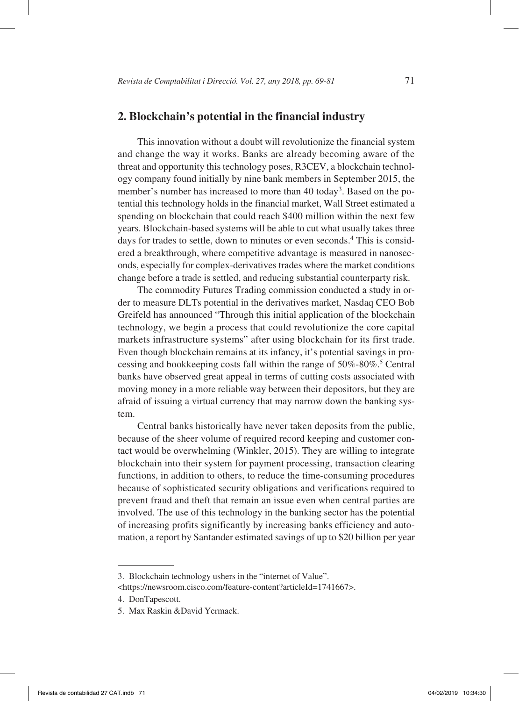#### **2. Blockchain's potential in the financial industry**

This innovation without a doubt will revolutionize the financial system and change the way it works. Banks are already becoming aware of the threat and opportunity this technology poses, R3CEV, a blockchain technology company found initially by nine bank members in September 2015, the member's number has increased to more than 40 today<sup>3</sup>. Based on the potential this technology holds in the financial market, Wall Street estimated a spending on blockchain that could reach \$400 million within the next few years. Blockchain-based systems will be able to cut what usually takes three days for trades to settle, down to minutes or even seconds.<sup>4</sup> This is considered a breakthrough, where competitive advantage is measured in nanoseconds, especially for complex-derivatives trades where the market conditions change before a trade is settled, and reducing substantial counterparty risk.

The commodity Futures Trading commission conducted a study in order to measure DLTs potential in the derivatives market, Nasdaq CEO Bob Greifeld has announced "Through this initial application of the blockchain technology, we begin a process that could revolutionize the core capital markets infrastructure systems" after using blockchain for its first trade. Even though blockchain remains at its infancy, it's potential savings in processing and bookkeeping costs fall within the range of 50%-80%.5 Central banks have observed great appeal in terms of cutting costs associated with moving money in a more reliable way between their depositors, but they are afraid of issuing a virtual currency that may narrow down the banking system.

Central banks historically have never taken deposits from the public, because of the sheer volume of required record keeping and customer contact would be overwhelming (Winkler, 2015). They are willing to integrate blockchain into their system for payment processing, transaction clearing functions, in addition to others, to reduce the time-consuming procedures because of sophisticated security obligations and verifications required to prevent fraud and theft that remain an issue even when central parties are involved. The use of this technology in the banking sector has the potential of increasing profits significantly by increasing banks efficiency and automation, a report by Santander estimated savings of up to \$20 billion per year

<sup>3.</sup> Blockchain technology ushers in the "internet of Value". <https://newsroom.cisco.com/feature-content?articleId=1741667>.

<sup>4.</sup> DonTapescott.

<sup>5.</sup> Max Raskin &David Yermack.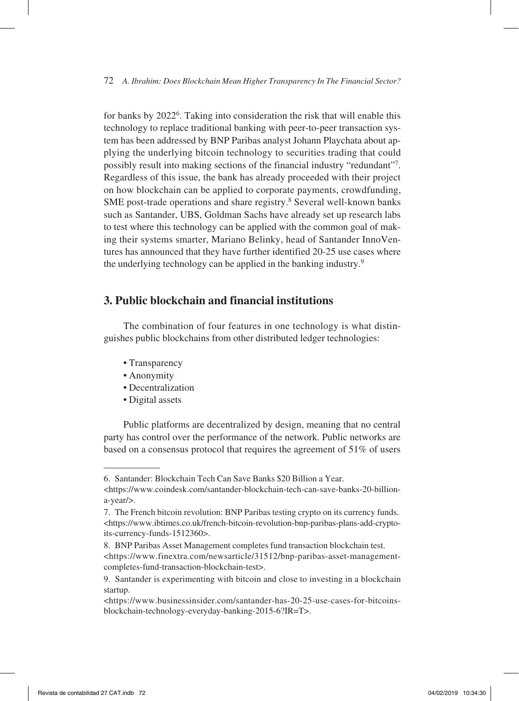for banks by 20226. Taking into consideration the risk that will enable this technology to replace traditional banking with peer-to-peer transaction system has been addressed by BNP Paribas analyst Johann Playchata about applying the underlying bitcoin technology to securities trading that could possibly result into making sections of the financial industry "redundant"7. Regardless of this issue, the bank has already proceeded with their project on how blockchain can be applied to corporate payments, crowdfunding, SME post-trade operations and share registry.<sup>8</sup> Several well-known banks such as Santander, UBS, Goldman Sachs have already set up research labs to test where this technology can be applied with the common goal of making their systems smarter, Mariano Belinky, head of Santander InnoVentures has announced that they have further identified 20-25 use cases where the underlying technology can be applied in the banking industry.9

#### **3. Public blockchain and financial institutions**

The combination of four features in one technology is what distinguishes public blockchains from other distributed ledger technologies:

- Transparency
- Anonymity
- Decentralization
- Digital assets

Public platforms are decentralized by design, meaning that no central party has control over the performance of the network. Public networks are based on a consensus protocol that requires the agreement of 51% of users

<sup>6.</sup> Santander: Blockchain Tech Can Save Banks \$20 Billion a Year. <https://www.coindesk.com/santander-blockchain-tech-can-save-banks-20-billiona-year/>.

<sup>7.</sup> The French bitcoin revolution: BNP Paribas testing crypto on its currency funds. <https://www.ibtimes.co.uk/french-bitcoin-revolution-bnp-paribas-plans-add-cryptoits-currency-funds-1512360>.

<sup>8.</sup> BNP Paribas Asset Management completes fund transaction blockchain test. <https://www.finextra.com/newsarticle/31512/bnp-paribas-asset-managementcompletes-fund-transaction-blockchain-test>.

<sup>9.</sup> Santander is experimenting with bitcoin and close to investing in a blockchain startup.

<sup>&</sup>lt;https://www.businessinsider.com/santander-has-20-25-use-cases-for-bitcoinsblockchain-technology-everyday-banking-2015-6?IR=T>.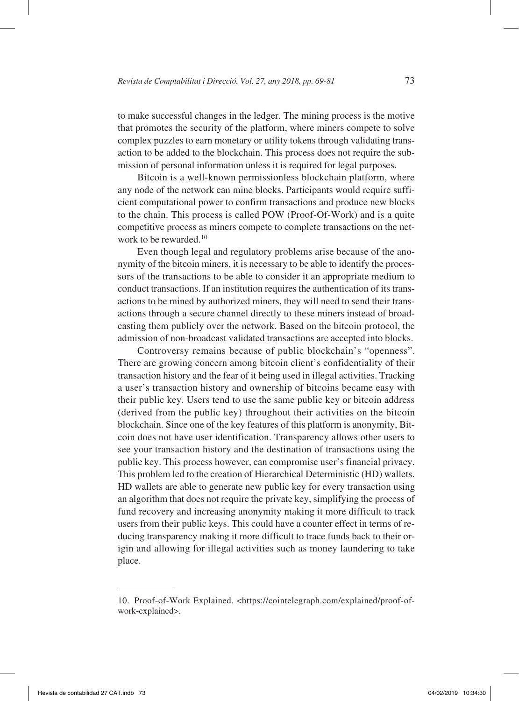to make successful changes in the ledger. The mining process is the motive that promotes the security of the platform, where miners compete to solve complex puzzles to earn monetary or utility tokens through validating transaction to be added to the blockchain. This process does not require the submission of personal information unless it is required for legal purposes.

Bitcoin is a well-known permissionless blockchain platform, where any node of the network can mine blocks. Participants would require sufficient computational power to confirm transactions and produce new blocks to the chain. This process is called POW (Proof-Of-Work) and is a quite competitive process as miners compete to complete transactions on the network to be rewarded.<sup>10</sup>

Even though legal and regulatory problems arise because of the anonymity of the bitcoin miners, it is necessary to be able to identify the processors of the transactions to be able to consider it an appropriate medium to conduct transactions. If an institution requires the authentication of its transactions to be mined by authorized miners, they will need to send their transactions through a secure channel directly to these miners instead of broadcasting them publicly over the network. Based on the bitcoin protocol, the admission of non-broadcast validated transactions are accepted into blocks.

Controversy remains because of public blockchain's "openness". There are growing concern among bitcoin client's confidentiality of their transaction history and the fear of it being used in illegal activities. Tracking a user's transaction history and ownership of bitcoins became easy with their public key. Users tend to use the same public key or bitcoin address (derived from the public key) throughout their activities on the bitcoin blockchain. Since one of the key features of this platform is anonymity, Bitcoin does not have user identification. Transparency allows other users to see your transaction history and the destination of transactions using the public key. This process however, can compromise user's financial privacy. This problem led to the creation of Hierarchical Deterministic (HD) wallets. HD wallets are able to generate new public key for every transaction using an algorithm that does not require the private key, simplifying the process of fund recovery and increasing anonymity making it more difficult to track users from their public keys. This could have a counter effect in terms of reducing transparency making it more difficult to trace funds back to their origin and allowing for illegal activities such as money laundering to take place.

<sup>10.</sup> Proof-of-Work Explained. <https://cointelegraph.com/explained/proof-ofwork-explained>.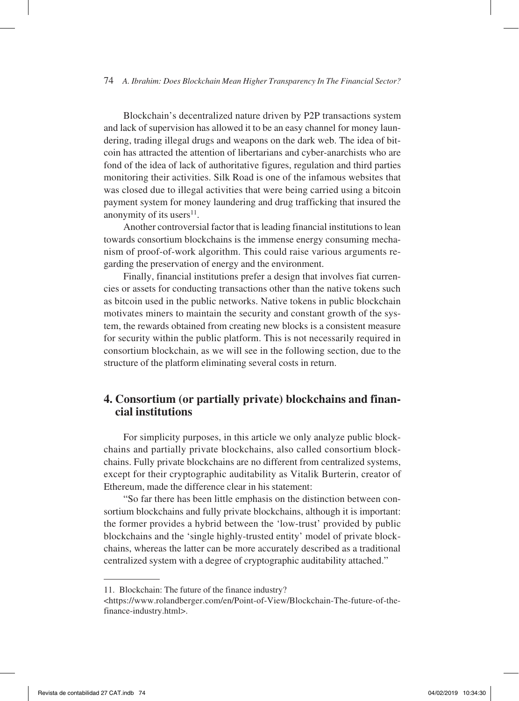Blockchain's decentralized nature driven by P2P transactions system and lack of supervision has allowed it to be an easy channel for money laundering, trading illegal drugs and weapons on the dark web. The idea of bitcoin has attracted the attention of libertarians and cyber-anarchists who are fond of the idea of lack of authoritative figures, regulation and third parties monitoring their activities. Silk Road is one of the infamous websites that was closed due to illegal activities that were being carried using a bitcoin payment system for money laundering and drug trafficking that insured the anonymity of its users $11$ .

Another controversial factor that is leading financial institutions to lean towards consortium blockchains is the immense energy consuming mechanism of proof-of-work algorithm. This could raise various arguments regarding the preservation of energy and the environment.

Finally, financial institutions prefer a design that involves fiat currencies or assets for conducting transactions other than the native tokens such as bitcoin used in the public networks. Native tokens in public blockchain motivates miners to maintain the security and constant growth of the system, the rewards obtained from creating new blocks is a consistent measure for security within the public platform. This is not necessarily required in consortium blockchain, as we will see in the following section, due to the structure of the platform eliminating several costs in return.

## **4. Consortium (or partially private) blockchains and financial institutions**

For simplicity purposes, in this article we only analyze public blockchains and partially private blockchains, also called consortium blockchains. Fully private blockchains are no different from centralized systems, except for their cryptographic auditability as Vitalik Burterin, creator of Ethereum, made the difference clear in his statement:

"So far there has been little emphasis on the distinction between consortium blockchains and fully private blockchains, although it is important: the former provides a hybrid between the 'low-trust' provided by public blockchains and the 'single highly-trusted entity' model of private blockchains, whereas the latter can be more accurately described as a traditional centralized system with a degree of cryptographic auditability attached."

<sup>11.</sup> Blockchain: The future of the finance industry?

<sup>&</sup>lt;https://www.rolandberger.com/en/Point-of-View/Blockchain-The-future-of-thefinance-industry.html>.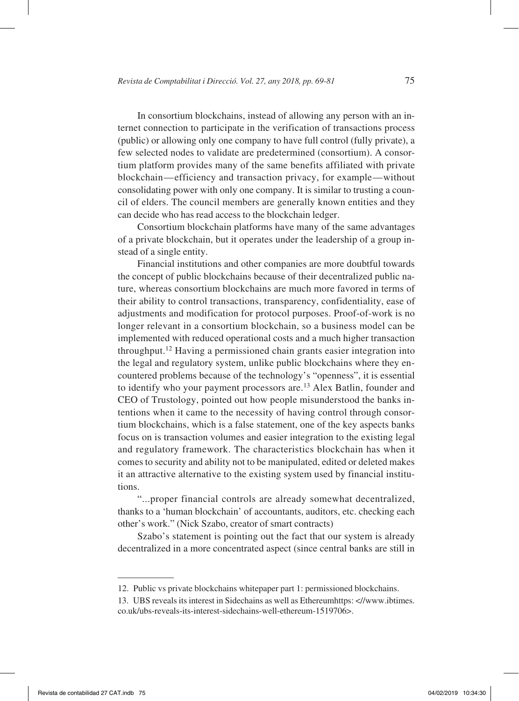In consortium blockchains, instead of allowing any person with an internet connection to participate in the verification of transactions process (public) or allowing only one company to have full control (fully private), a few selected nodes to validate are predetermined (consortium). A consortium platform provides many of the same benefits affiliated with private blockchain—efficiency and transaction privacy, for example—without consolidating power with only one company. It is similar to trusting a council of elders. The council members are generally known entities and they can decide who has read access to the blockchain ledger.

Consortium blockchain platforms have many of the same advantages of a private blockchain, but it operates under the leadership of a group instead of a single entity.

Financial institutions and other companies are more doubtful towards the concept of public blockchains because of their decentralized public nature, whereas consortium blockchains are much more favored in terms of their ability to control transactions, transparency, confidentiality, ease of adjustments and modification for protocol purposes. Proof-of-work is no longer relevant in a consortium blockchain, so a business model can be implemented with reduced operational costs and a much higher transaction throughput.12 Having a permissioned chain grants easier integration into the legal and regulatory system, unlike public blockchains where they encountered problems because of the technology's "openness", it is essential to identify who your payment processors are.<sup>13</sup> Alex Batlin, founder and CEO of Trustology, pointed out how people misunderstood the banks intentions when it came to the necessity of having control through consortium blockchains, which is a false statement, one of the key aspects banks focus on is transaction volumes and easier integration to the existing legal and regulatory framework. The characteristics blockchain has when it comes to security and ability not to be manipulated, edited or deleted makes it an attractive alternative to the existing system used by financial institutions.

"...proper financial controls are already somewhat decentralized, thanks to a 'human blockchain' of accountants, auditors, etc. checking each other's work." (Nick Szabo, creator of smart contracts)

Szabo's statement is pointing out the fact that our system is already decentralized in a more concentrated aspect (since central banks are still in

<sup>12.</sup> Public vs private blockchains whitepaper part 1: permissioned blockchains.

<sup>13.</sup> UBS reveals its interest in Sidechains as well as Ethereumhttps: <//www.ibtimes. co.uk/ubs-reveals-its-interest-sidechains-well-ethereum-1519706>.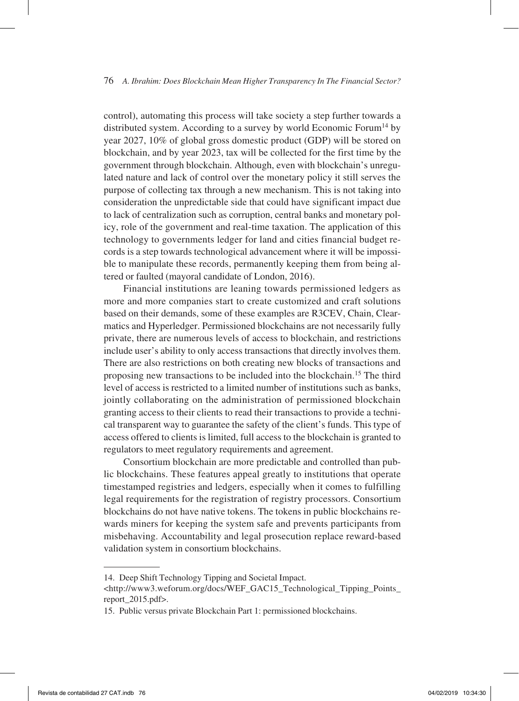control), automating this process will take society a step further towards a distributed system. According to a survey by world Economic Forum<sup>14</sup> by year 2027, 10% of global gross domestic product (GDP) will be stored on blockchain, and by year 2023, tax will be collected for the first time by the government through blockchain. Although, even with blockchain's unregulated nature and lack of control over the monetary policy it still serves the purpose of collecting tax through a new mechanism. This is not taking into consideration the unpredictable side that could have significant impact due to lack of centralization such as corruption, central banks and monetary policy, role of the government and real-time taxation. The application of this technology to governments ledger for land and cities financial budget records is a step towards technological advancement where it will be impossible to manipulate these records, permanently keeping them from being altered or faulted (mayoral candidate of London, 2016).

Financial institutions are leaning towards permissioned ledgers as more and more companies start to create customized and craft solutions based on their demands, some of these examples are R3CEV, Chain, Clearmatics and Hyperledger. Permissioned blockchains are not necessarily fully private, there are numerous levels of access to blockchain, and restrictions include user's ability to only access transactions that directly involves them. There are also restrictions on both creating new blocks of transactions and proposing new transactions to be included into the blockchain.15 The third level of access is restricted to a limited number of institutions such as banks, jointly collaborating on the administration of permissioned blockchain granting access to their clients to read their transactions to provide a technical transparent way to guarantee the safety of the client's funds. This type of access offered to clients is limited, full access to the blockchain is granted to regulators to meet regulatory requirements and agreement.

Consortium blockchain are more predictable and controlled than public blockchains. These features appeal greatly to institutions that operate timestamped registries and ledgers, especially when it comes to fulfilling legal requirements for the registration of registry processors. Consortium blockchains do not have native tokens. The tokens in public blockchains rewards miners for keeping the system safe and prevents participants from misbehaving. Accountability and legal prosecution replace reward-based validation system in consortium blockchains.

<sup>14.</sup> Deep Shift Technology Tipping and Societal Impact.

<sup>&</sup>lt;http://www3.weforum.org/docs/WEF\_GAC15\_Technological\_Tipping\_Points\_ report\_2015.pdf>.

<sup>15.</sup> Public versus private Blockchain Part 1: permissioned blockchains.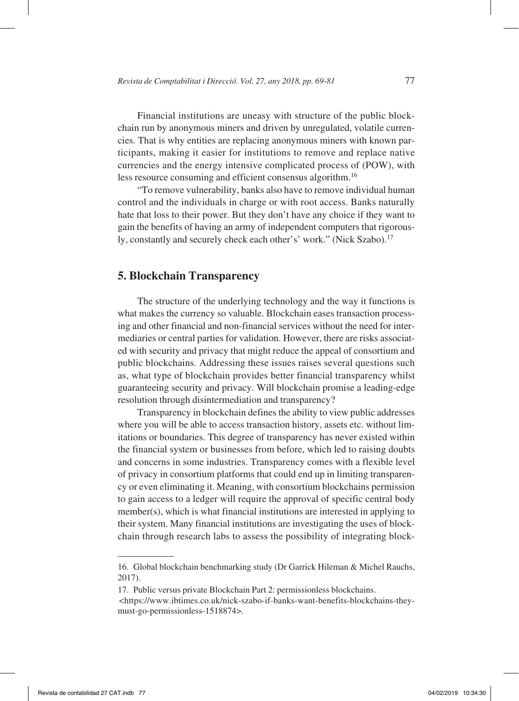Financial institutions are uneasy with structure of the public blockchain run by anonymous miners and driven by unregulated, volatile currencies. That is why entities are replacing anonymous miners with known participants, making it easier for institutions to remove and replace native currencies and the energy intensive complicated process of (POW), with less resource consuming and efficient consensus algorithm.16

"To remove vulnerability, banks also have to remove individual human control and the individuals in charge or with root access. Banks naturally hate that loss to their power. But they don't have any choice if they want to gain the benefits of having an army of independent computers that rigorously, constantly and securely check each other's' work." (Nick Szabo).<sup>17</sup>

#### **5. Blockchain Transparency**

The structure of the underlying technology and the way it functions is what makes the currency so valuable. Blockchain eases transaction processing and other financial and non-financial services without the need for intermediaries or central parties for validation. However, there are risks associated with security and privacy that might reduce the appeal of consortium and public blockchains. Addressing these issues raises several questions such as, what type of blockchain provides better financial transparency whilst guaranteeing security and privacy. Will blockchain promise a leading-edge resolution through disintermediation and transparency?

Transparency in blockchain defines the ability to view public addresses where you will be able to access transaction history, assets etc. without limitations or boundaries. This degree of transparency has never existed within the financial system or businesses from before, which led to raising doubts and concerns in some industries. Transparency comes with a flexible level of privacy in consortium platforms that could end up in limiting transparency or even eliminating it. Meaning, with consortium blockchains permission to gain access to a ledger will require the approval of specific central body member(s), which is what financial institutions are interested in applying to their system. Many financial institutions are investigating the uses of blockchain through research labs to assess the possibility of integrating block-

17. Public versus private Blockchain Part 2: permissionless blockchains.

<sup>16.</sup> Global blockchain benchmarking study (Dr Garrick Hileman & Michel Rauchs, 2017).

<sup>&</sup>lt;https://www.ibtimes.co.uk/nick-szabo-if-banks-want-benefits-blockchains-theymust-go-permissionless-1518874>.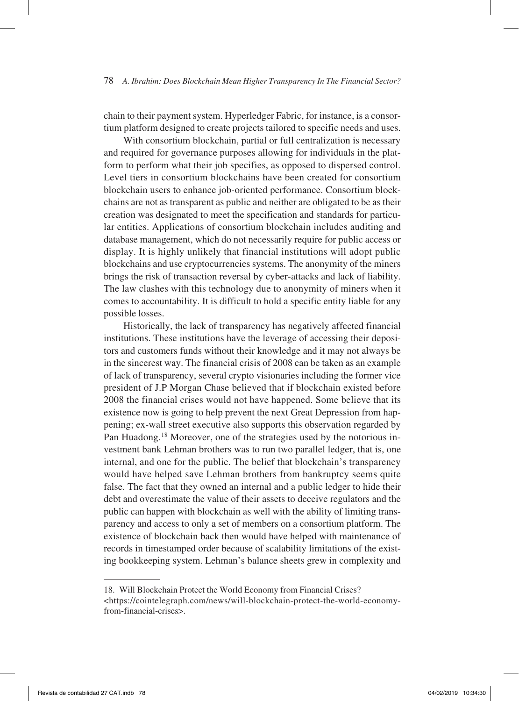chain to their payment system. Hyperledger Fabric, for instance, is a consortium platform designed to create projects tailored to specific needs and uses.

With consortium blockchain, partial or full centralization is necessary and required for governance purposes allowing for individuals in the platform to perform what their job specifies, as opposed to dispersed control. Level tiers in consortium blockchains have been created for consortium blockchain users to enhance job-oriented performance. Consortium blockchains are not as transparent as public and neither are obligated to be as their creation was designated to meet the specification and standards for particular entities. Applications of consortium blockchain includes auditing and database management, which do not necessarily require for public access or display. It is highly unlikely that financial institutions will adopt public blockchains and use cryptocurrencies systems. The anonymity of the miners brings the risk of transaction reversal by cyber-attacks and lack of liability. The law clashes with this technology due to anonymity of miners when it comes to accountability. It is difficult to hold a specific entity liable for any possible losses.

Historically, the lack of transparency has negatively affected financial institutions. These institutions have the leverage of accessing their depositors and customers funds without their knowledge and it may not always be in the sincerest way. The financial crisis of 2008 can be taken as an example of lack of transparency, several crypto visionaries including the former vice president of J.P Morgan Chase believed that if blockchain existed before 2008 the financial crises would not have happened. Some believe that its existence now is going to help prevent the next Great Depression from happening; ex-wall street executive also supports this observation regarded by Pan Huadong.18 Moreover, one of the strategies used by the notorious investment bank Lehman brothers was to run two parallel ledger, that is, one internal, and one for the public. The belief that blockchain's transparency would have helped save Lehman brothers from bankruptcy seems quite false. The fact that they owned an internal and a public ledger to hide their debt and overestimate the value of their assets to deceive regulators and the public can happen with blockchain as well with the ability of limiting transparency and access to only a set of members on a consortium platform. The existence of blockchain back then would have helped with maintenance of records in timestamped order because of scalability limitations of the existing bookkeeping system. Lehman's balance sheets grew in complexity and

<sup>18.</sup> Will Blockchain Protect the World Economy from Financial Crises? <https://cointelegraph.com/news/will-blockchain-protect-the-world-economyfrom-financial-crises>.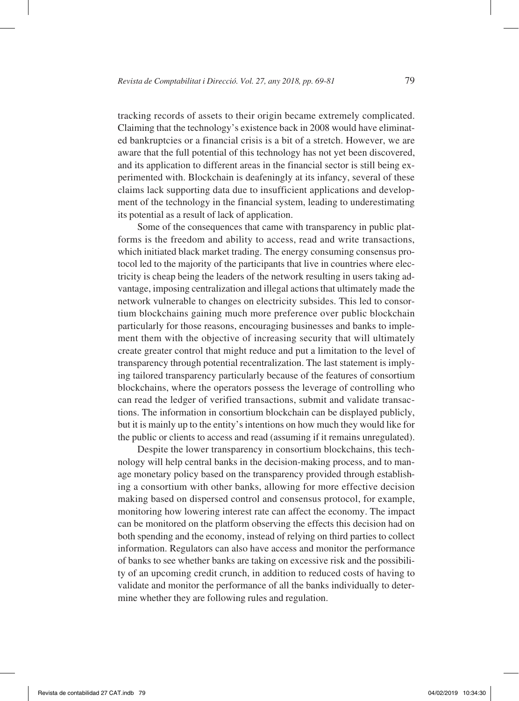tracking records of assets to their origin became extremely complicated. Claiming that the technology's existence back in 2008 would have eliminated bankruptcies or a financial crisis is a bit of a stretch. However, we are aware that the full potential of this technology has not yet been discovered, and its application to different areas in the financial sector is still being experimented with. Blockchain is deafeningly at its infancy, several of these claims lack supporting data due to insufficient applications and development of the technology in the financial system, leading to underestimating its potential as a result of lack of application.

Some of the consequences that came with transparency in public platforms is the freedom and ability to access, read and write transactions, which initiated black market trading. The energy consuming consensus protocol led to the majority of the participants that live in countries where electricity is cheap being the leaders of the network resulting in users taking advantage, imposing centralization and illegal actions that ultimately made the network vulnerable to changes on electricity subsides. This led to consortium blockchains gaining much more preference over public blockchain particularly for those reasons, encouraging businesses and banks to implement them with the objective of increasing security that will ultimately create greater control that might reduce and put a limitation to the level of transparency through potential recentralization. The last statement is implying tailored transparency particularly because of the features of consortium blockchains, where the operators possess the leverage of controlling who can read the ledger of verified transactions, submit and validate transactions. The information in consortium blockchain can be displayed publicly, but it is mainly up to the entity's intentions on how much they would like for the public or clients to access and read (assuming if it remains unregulated).

Despite the lower transparency in consortium blockchains, this technology will help central banks in the decision-making process, and to manage monetary policy based on the transparency provided through establishing a consortium with other banks, allowing for more effective decision making based on dispersed control and consensus protocol, for example, monitoring how lowering interest rate can affect the economy. The impact can be monitored on the platform observing the effects this decision had on both spending and the economy, instead of relying on third parties to collect information. Regulators can also have access and monitor the performance of banks to see whether banks are taking on excessive risk and the possibility of an upcoming credit crunch, in addition to reduced costs of having to validate and monitor the performance of all the banks individually to determine whether they are following rules and regulation.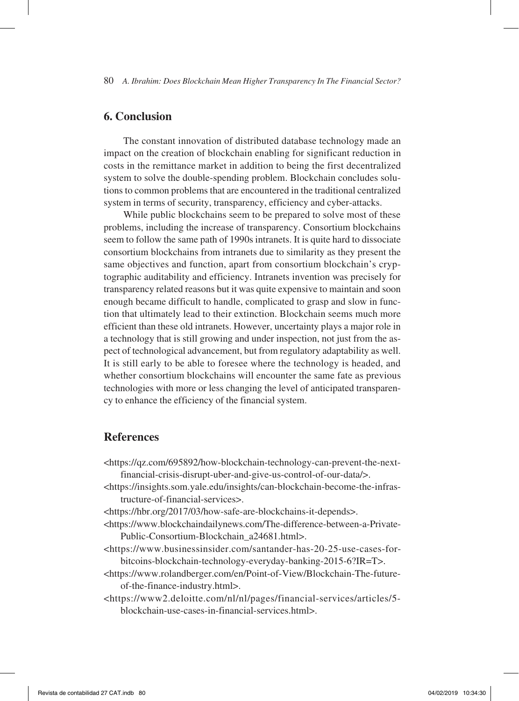## **6. Conclusion**

The constant innovation of distributed database technology made an impact on the creation of blockchain enabling for significant reduction in costs in the remittance market in addition to being the first decentralized system to solve the double-spending problem. Blockchain concludes solutions to common problems that are encountered in the traditional centralized system in terms of security, transparency, efficiency and cyber-attacks.

While public blockchains seem to be prepared to solve most of these problems, including the increase of transparency. Consortium blockchains seem to follow the same path of 1990s intranets. It is quite hard to dissociate consortium blockchains from intranets due to similarity as they present the same objectives and function, apart from consortium blockchain's cryptographic auditability and efficiency. Intranets invention was precisely for transparency related reasons but it was quite expensive to maintain and soon enough became difficult to handle, complicated to grasp and slow in function that ultimately lead to their extinction. Blockchain seems much more efficient than these old intranets. However, uncertainty plays a major role in a technology that is still growing and under inspection, not just from the aspect of technological advancement, but from regulatory adaptability as well. It is still early to be able to foresee where the technology is headed, and whether consortium blockchains will encounter the same fate as previous technologies with more or less changing the level of anticipated transparency to enhance the efficiency of the financial system.

## **References**

- <https://qz.com/695892/how-blockchain-technology-can-prevent-the-nextfinancial-crisis-disrupt-uber-and-give-us-control-of-our-data/>.
- <https://insights.som.yale.edu/insights/can-blockchain-become-the-infrastructure-of-financial-services>.
- <https://hbr.org/2017/03/how-safe-are-blockchains-it-depends>.
- <https://www.blockchaindailynews.com/The-difference-between-a-Private-Public-Consortium-Blockchain\_a24681.html>.
- <https://www.businessinsider.com/santander-has-20-25-use-cases-forbitcoins-blockchain-technology-everyday-banking-2015-6?IR=T>.
- <https://www.rolandberger.com/en/Point-of-View/Blockchain-The-futureof-the-finance-industry.html>.
- <https://www2.deloitte.com/nl/nl/pages/financial-services/articles/5 blockchain-use-cases-in-financial-services.html>.